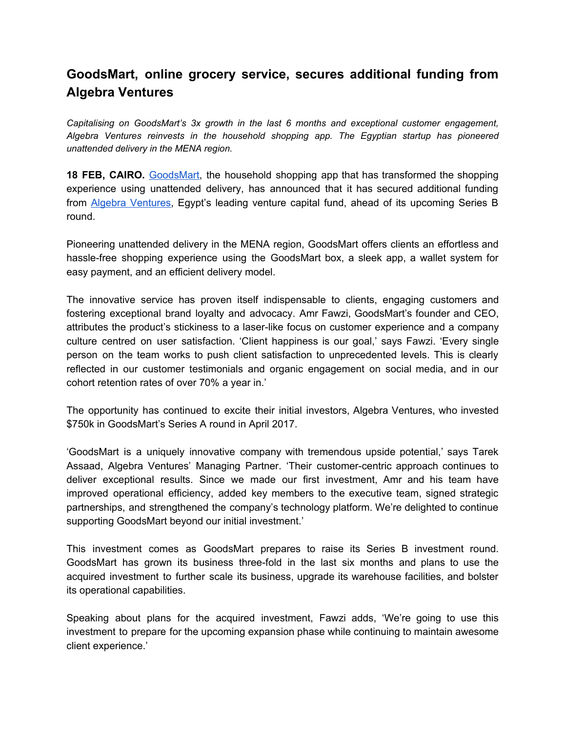## **GoodsMart, online grocery service, secures additional funding from Algebra Ventures**

*Capitalising on GoodsMart's 3x growth in the last 6 months and exceptional customer engagement, Algebra Ventures reinvests in the household shopping app. The Egyptian startup has pioneered unattended delivery in the MENA region.*

**18 FEB, CAIRO.** [GoodsMart,](http://www.goodsmartegypt.com/) the household shopping app that has transformed the shopping experience using unattended delivery, has announced that it has secured additional funding from **Algebra Ventures**, Egypt's leading venture capital fund, ahead of its upcoming Series B round.

Pioneering unattended delivery in the MENA region, GoodsMart offers clients an effortless and hassle-free shopping experience using the GoodsMart box, a sleek app, a wallet system for easy payment, and an efficient delivery model.

The innovative service has proven itself indispensable to clients, engaging customers and fostering exceptional brand loyalty and advocacy. Amr Fawzi, GoodsMart's founder and CEO, attributes the product's stickiness to a laser-like focus on customer experience and a company culture centred on user satisfaction. 'Client happiness is our goal,' says Fawzi. 'Every single person on the team works to push client satisfaction to unprecedented levels. This is clearly reflected in our customer testimonials and organic engagement on social media, and in our cohort retention rates of over 70% a year in.'

The opportunity has continued to excite their initial investors, Algebra Ventures, who invested \$750k in GoodsMart's Series A round in April 2017.

'GoodsMart is a uniquely innovative company with tremendous upside potential,' says Tarek Assaad, Algebra Ventures' Managing Partner. 'Their customer-centric approach continues to deliver exceptional results. Since we made our first investment, Amr and his team have improved operational efficiency, added key members to the executive team, signed strategic partnerships, and strengthened the company's technology platform. We're delighted to continue supporting GoodsMart beyond our initial investment.'

This investment comes as GoodsMart prepares to raise its Series B investment round. GoodsMart has grown its business three-fold in the last six months and plans to use the acquired investment to further scale its business, upgrade its warehouse facilities, and bolster its operational capabilities.

Speaking about plans for the acquired investment, Fawzi adds, 'We're going to use this investment to prepare for the upcoming expansion phase while continuing to maintain awesome client experience.'